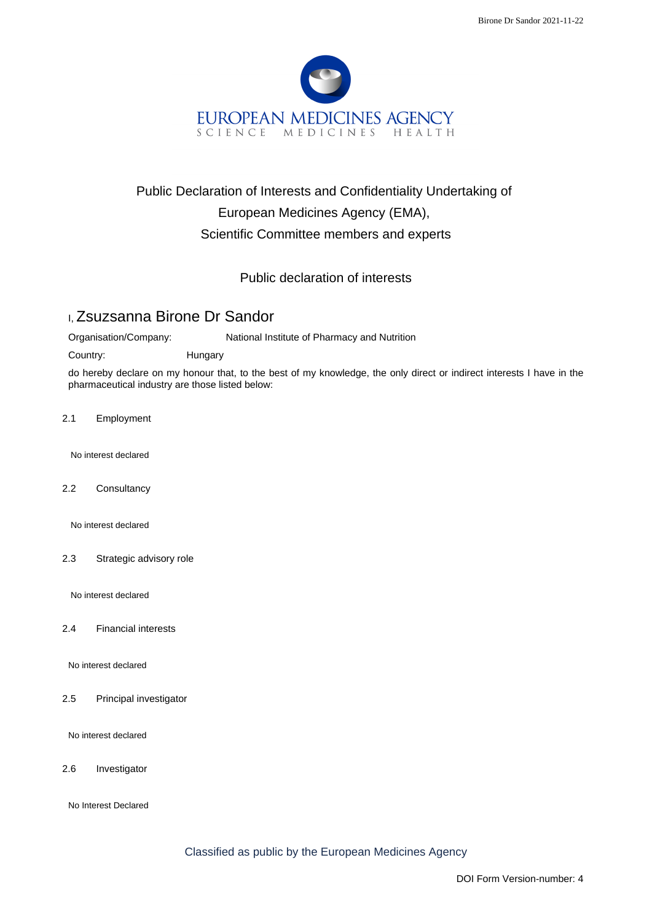

## Public Declaration of Interests and Confidentiality Undertaking of European Medicines Agency (EMA), Scientific Committee members and experts

Public declaration of interests

## I, Zsuzsanna Birone Dr Sandor

Organisation/Company: National Institute of Pharmacy and Nutrition

Country: Hungary

do hereby declare on my honour that, to the best of my knowledge, the only direct or indirect interests I have in the pharmaceutical industry are those listed below:

2.1 Employment

No interest declared

2.2 Consultancy

No interest declared

2.3 Strategic advisory role

No interest declared

2.4 Financial interests

No interest declared

2.5 Principal investigator

No interest declared

2.6 Investigator

No Interest Declared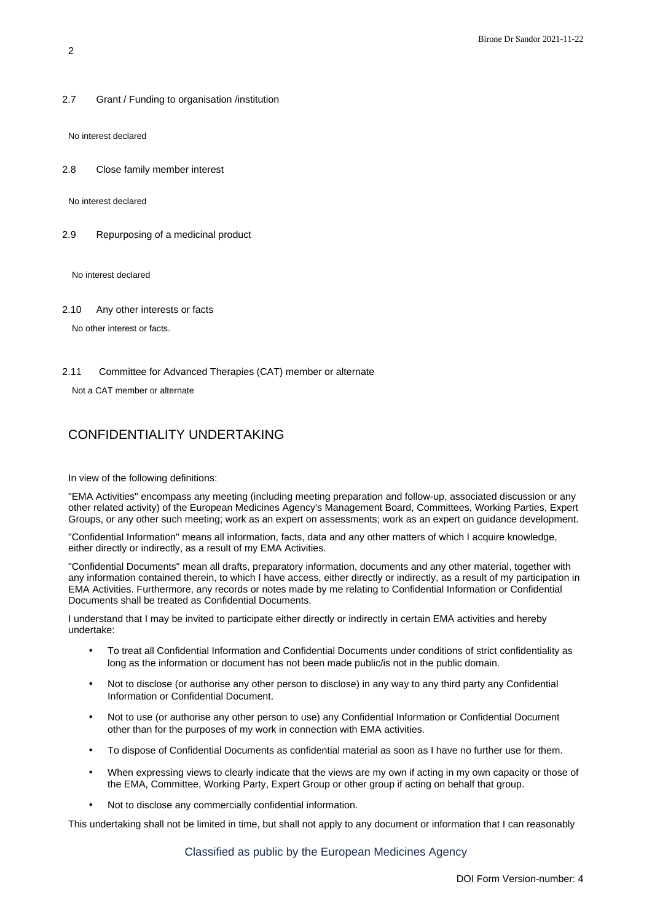2.7 Grant / Funding to organisation /institution

No interest declared

2.8 Close family member interest

No interest declared

2.9 Repurposing of a medicinal product

No interest declared

2.10 Any other interests or facts

No other interest or facts.

2.11 Committee for Advanced Therapies (CAT) member or alternate

Not a CAT member or alternate

## CONFIDENTIALITY UNDERTAKING

In view of the following definitions:

"EMA Activities" encompass any meeting (including meeting preparation and follow-up, associated discussion or any other related activity) of the European Medicines Agency's Management Board, Committees, Working Parties, Expert Groups, or any other such meeting; work as an expert on assessments; work as an expert on guidance development.

"Confidential Information" means all information, facts, data and any other matters of which I acquire knowledge, either directly or indirectly, as a result of my EMA Activities.

"Confidential Documents" mean all drafts, preparatory information, documents and any other material, together with any information contained therein, to which I have access, either directly or indirectly, as a result of my participation in EMA Activities. Furthermore, any records or notes made by me relating to Confidential Information or Confidential Documents shall be treated as Confidential Documents.

I understand that I may be invited to participate either directly or indirectly in certain EMA activities and hereby undertake:

- To treat all Confidential Information and Confidential Documents under conditions of strict confidentiality as long as the information or document has not been made public/is not in the public domain.
- Not to disclose (or authorise any other person to disclose) in any way to any third party any Confidential Information or Confidential Document.
- Not to use (or authorise any other person to use) any Confidential Information or Confidential Document other than for the purposes of my work in connection with EMA activities.
- To dispose of Confidential Documents as confidential material as soon as I have no further use for them.
- When expressing views to clearly indicate that the views are my own if acting in my own capacity or those of the EMA, Committee, Working Party, Expert Group or other group if acting on behalf that group.
- Not to disclose any commercially confidential information.

This undertaking shall not be limited in time, but shall not apply to any document or information that I can reasonably

Classified as public by the European Medicines Agency